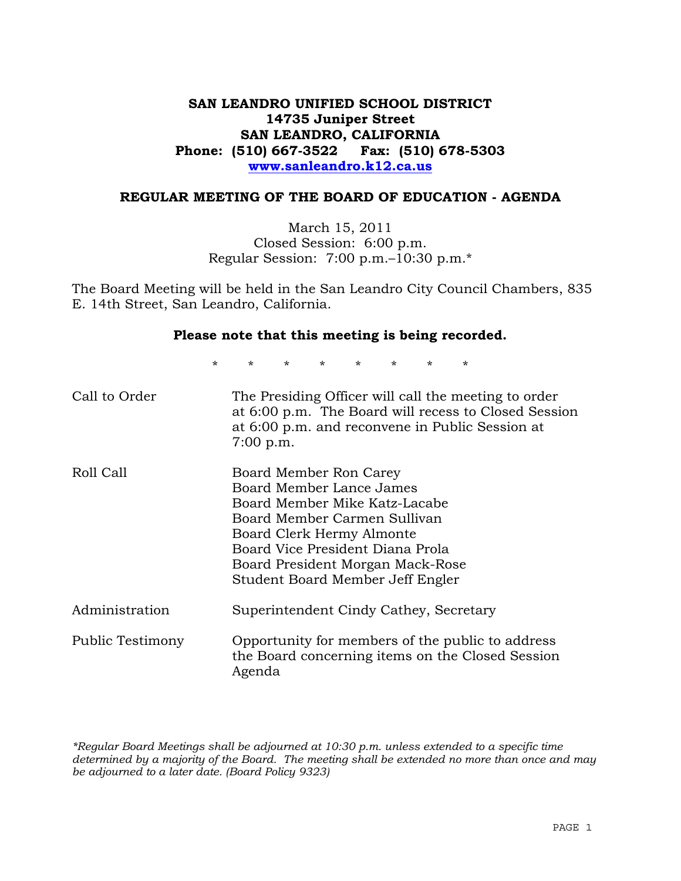# **SAN LEANDRO UNIFIED SCHOOL DISTRICT 14735 Juniper Street SAN LEANDRO, CALIFORNIA Phone: (510) 667-3522 Fax: (510) 678-5303 www.sanleandro.k12.ca.us**

#### **REGULAR MEETING OF THE BOARD OF EDUCATION - AGENDA**

March 15, 2011 Closed Session: 6:00 p.m. Regular Session: 7:00 p.m.–10:30 p.m.\*

The Board Meeting will be held in the San Leandro City Council Chambers, 835 E. 14th Street, San Leandro, California.

#### **Please note that this meeting is being recorded.**

\* \* \* \* \* \* \* \*

| Call to Order    | The Presiding Officer will call the meeting to order<br>at 6:00 p.m. The Board will recess to Closed Session<br>at 6:00 p.m. and reconvene in Public Session at<br>$7:00$ p.m.                                                                               |
|------------------|--------------------------------------------------------------------------------------------------------------------------------------------------------------------------------------------------------------------------------------------------------------|
| Roll Call        | Board Member Ron Carey<br>Board Member Lance James<br>Board Member Mike Katz-Lacabe<br>Board Member Carmen Sullivan<br>Board Clerk Hermy Almonte<br>Board Vice President Diana Prola<br>Board President Morgan Mack-Rose<br>Student Board Member Jeff Engler |
| Administration   | Superintendent Cindy Cathey, Secretary                                                                                                                                                                                                                       |
| Public Testimony | Opportunity for members of the public to address<br>the Board concerning items on the Closed Session<br>Agenda                                                                                                                                               |

*\*Regular Board Meetings shall be adjourned at 10:30 p.m. unless extended to a specific time determined by a majority of the Board. The meeting shall be extended no more than once and may be adjourned to a later date. (Board Policy 9323)*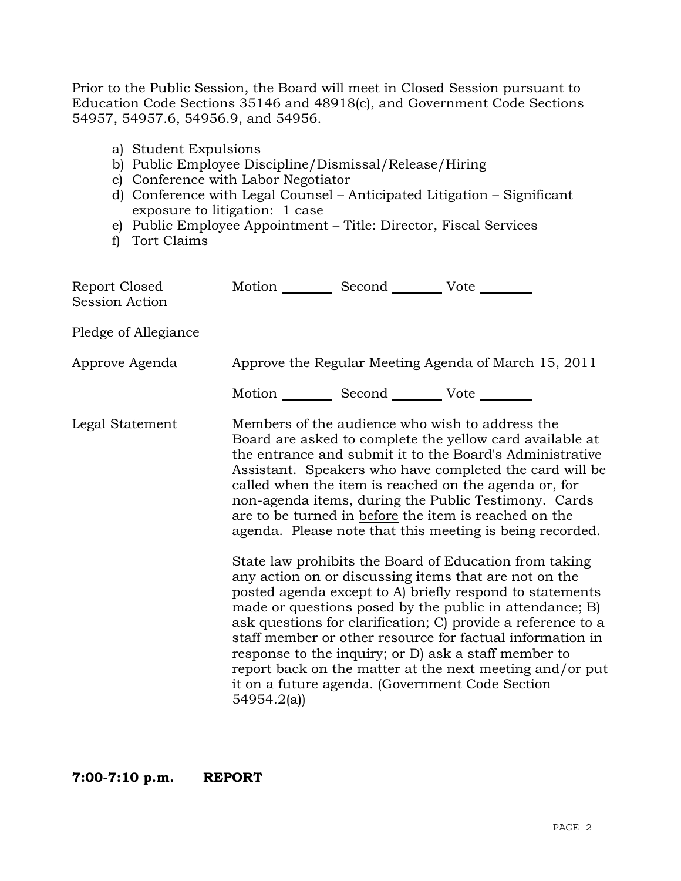Prior to the Public Session, the Board will meet in Closed Session pursuant to Education Code Sections 35146 and 48918(c), and Government Code Sections 54957, 54957.6, 54956.9, and 54956.

- a) Student Expulsions
- b) Public Employee Discipline/Dismissal/Release/Hiring
- c) Conference with Labor Negotiator
- d) Conference with Legal Counsel Anticipated Litigation Significant exposure to litigation: 1 case
- e) Public Employee Appointment Title: Director, Fiscal Services
- f) Tort Claims

| Report Closed<br>Session Action |            | Motion __________ Second __________ Vote ________ |                                                                                                                                                                                                                                                                                                                                                                                                                                                                                                                                                                                                                                                                                                                                                                                                                                                                                                                                                                                                                        |
|---------------------------------|------------|---------------------------------------------------|------------------------------------------------------------------------------------------------------------------------------------------------------------------------------------------------------------------------------------------------------------------------------------------------------------------------------------------------------------------------------------------------------------------------------------------------------------------------------------------------------------------------------------------------------------------------------------------------------------------------------------------------------------------------------------------------------------------------------------------------------------------------------------------------------------------------------------------------------------------------------------------------------------------------------------------------------------------------------------------------------------------------|
| Pledge of Allegiance            |            |                                                   |                                                                                                                                                                                                                                                                                                                                                                                                                                                                                                                                                                                                                                                                                                                                                                                                                                                                                                                                                                                                                        |
| Approve Agenda                  |            |                                                   | Approve the Regular Meeting Agenda of March 15, 2011                                                                                                                                                                                                                                                                                                                                                                                                                                                                                                                                                                                                                                                                                                                                                                                                                                                                                                                                                                   |
|                                 |            | Motion __________ Second __________ Vote ________ |                                                                                                                                                                                                                                                                                                                                                                                                                                                                                                                                                                                                                                                                                                                                                                                                                                                                                                                                                                                                                        |
| Legal Statement                 | 54954.2(a) |                                                   | Members of the audience who wish to address the<br>Board are asked to complete the yellow card available at<br>the entrance and submit it to the Board's Administrative<br>Assistant. Speakers who have completed the card will be<br>called when the item is reached on the agenda or, for<br>non-agenda items, during the Public Testimony. Cards<br>are to be turned in before the item is reached on the<br>agenda. Please note that this meeting is being recorded.<br>State law prohibits the Board of Education from taking<br>any action on or discussing items that are not on the<br>posted agenda except to A) briefly respond to statements<br>made or questions posed by the public in attendance; B)<br>ask questions for clarification; C) provide a reference to a<br>staff member or other resource for factual information in<br>response to the inquiry; or D) ask a staff member to<br>report back on the matter at the next meeting and/or put<br>it on a future agenda. (Government Code Section |

**7:00-7:10 p.m. REPORT**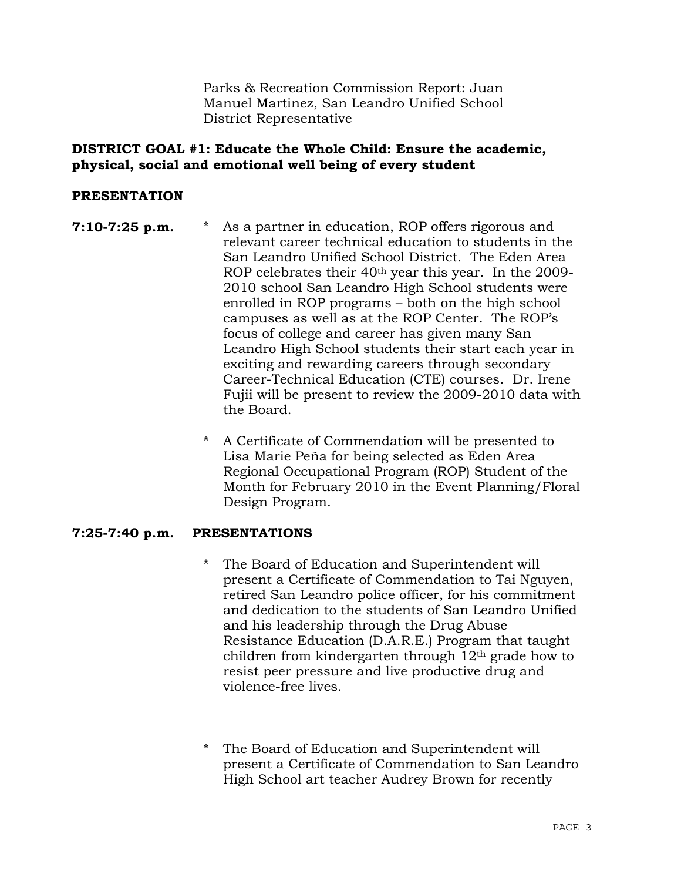Parks & Recreation Commission Report: Juan Manuel Martinez, San Leandro Unified School District Representative

## **DISTRICT GOAL #1: Educate the Whole Child: Ensure the academic, physical, social and emotional well being of every student**

## **PRESENTATION**

- **7:10-7:25 p.m.** \* As a partner in education, ROP offers rigorous and relevant career technical education to students in the San Leandro Unified School District. The Eden Area ROP celebrates their 40<sup>th</sup> year this year. In the 2009-2010 school San Leandro High School students were enrolled in ROP programs – both on the high school campuses as well as at the ROP Center. The ROP's focus of college and career has given many San Leandro High School students their start each year in exciting and rewarding careers through secondary Career-Technical Education (CTE) courses. Dr. Irene Fujii will be present to review the 2009-2010 data with the Board.
	- \* A Certificate of Commendation will be presented to Lisa Marie Peña for being selected as Eden Area Regional Occupational Program (ROP) Student of the Month for February 2010 in the Event Planning/Floral Design Program.

# **7:25-7:40 p.m. PRESENTATIONS**

- \* The Board of Education and Superintendent will present a Certificate of Commendation to Tai Nguyen, retired San Leandro police officer, for his commitment and dedication to the students of San Leandro Unified and his leadership through the Drug Abuse Resistance Education (D.A.R.E.) Program that taught children from kindergarten through  $12<sup>th</sup>$  grade how to resist peer pressure and live productive drug and violence-free lives.
- \* The Board of Education and Superintendent will present a Certificate of Commendation to San Leandro High School art teacher Audrey Brown for recently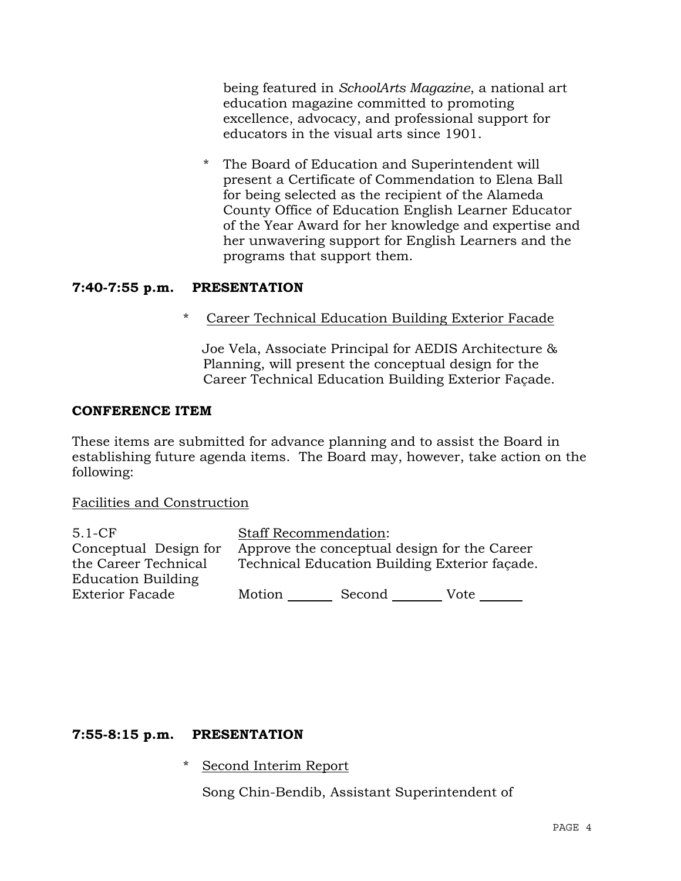being featured in *SchoolArts Magazine*, a national art education magazine committed to promoting excellence, advocacy, and professional support for educators in the visual arts since 1901.

The Board of Education and Superintendent will present a Certificate of Commendation to Elena Ball for being selected as the recipient of the Alameda County Office of Education English Learner Educator of the Year Award for her knowledge and expertise and her unwavering support for English Learners and the programs that support them.

## **7:40-7:55 p.m. PRESENTATION**

\* Career Technical Education Building Exterior Facade

 Joe Vela, Associate Principal for AEDIS Architecture & Planning, will present the conceptual design for the Career Technical Education Building Exterior Façade.

#### **CONFERENCE ITEM**

These items are submitted for advance planning and to assist the Board in establishing future agenda items. The Board may, however, take action on the following:

#### Facilities and Construction

| Motion | Second | Vote                                                                                                                          |
|--------|--------|-------------------------------------------------------------------------------------------------------------------------------|
|        |        | <b>Staff Recommendation:</b><br>Approve the conceptual design for the Career<br>Technical Education Building Exterior façade. |

# **7:55-8:15 p.m. PRESENTATION**

\* Second Interim Report

Song Chin-Bendib, Assistant Superintendent of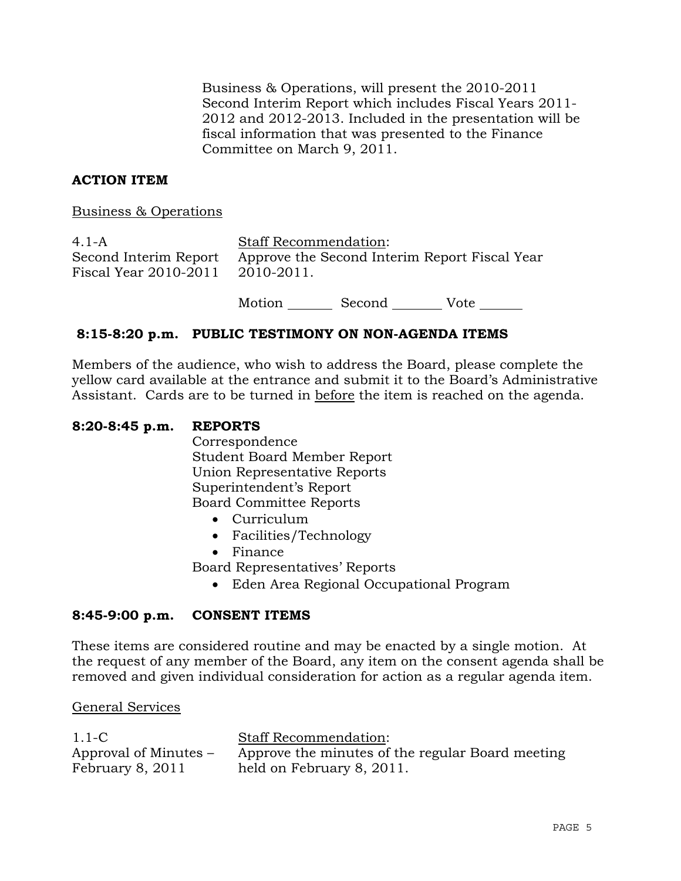Business & Operations, will present the 2010-2011 Second Interim Report which includes Fiscal Years 2011- 2012 and 2012-2013. Included in the presentation will be fiscal information that was presented to the Finance Committee on March 9, 2011.

## **ACTION ITEM**

Business & Operations

| $4.1 - A$                        | <b>Staff Recommendation:</b>                                        |
|----------------------------------|---------------------------------------------------------------------|
| Fiscal Year 2010-2011 2010-2011. | Second Interim Report Approve the Second Interim Report Fiscal Year |
|                                  |                                                                     |

Motion Second Vote

#### **8:15-8:20 p.m. PUBLIC TESTIMONY ON NON-AGENDA ITEMS**

Members of the audience, who wish to address the Board, please complete the yellow card available at the entrance and submit it to the Board's Administrative Assistant. Cards are to be turned in before the item is reached on the agenda.

#### **8:20-8:45 p.m. REPORTS**

 Correspondence Student Board Member Report Union Representative Reports Superintendent's Report Board Committee Reports

- Curriculum
- Facilities/Technology
- Finance

Board Representatives' Reports

Eden Area Regional Occupational Program

#### **8:45-9:00 p.m. CONSENT ITEMS**

These items are considered routine and may be enacted by a single motion. At the request of any member of the Board, any item on the consent agenda shall be removed and given individual consideration for action as a regular agenda item.

#### General Services

| $1.1-C$               | <b>Staff Recommendation:</b>                     |
|-----------------------|--------------------------------------------------|
| Approval of Minutes – | Approve the minutes of the regular Board meeting |
| February 8, 2011      | held on February 8, 2011.                        |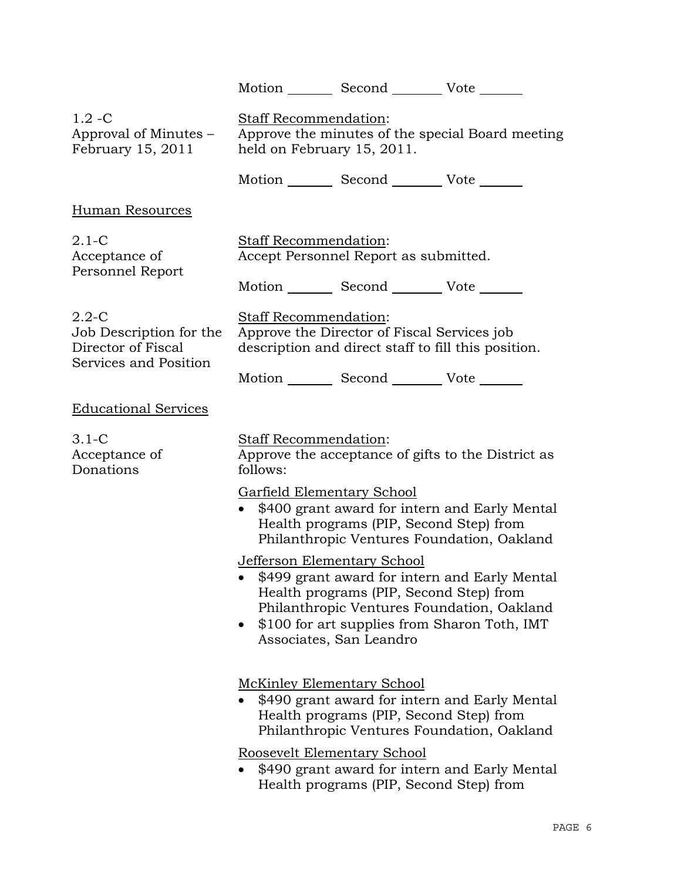|                                                            |                                                                                                                                    | Motion Second Vote                                                                                |                                                                                                                                             |
|------------------------------------------------------------|------------------------------------------------------------------------------------------------------------------------------------|---------------------------------------------------------------------------------------------------|---------------------------------------------------------------------------------------------------------------------------------------------|
| $1.2 - C$<br>Approval of Minutes –<br>February 15, 2011    | Staff Recommendation:<br>held on February 15, 2011.                                                                                |                                                                                                   | Approve the minutes of the special Board meeting                                                                                            |
|                                                            |                                                                                                                                    | Motion _________ Second __________ Vote _______                                                   |                                                                                                                                             |
| <b>Human Resources</b>                                     |                                                                                                                                    |                                                                                                   |                                                                                                                                             |
| $2.1-C$<br>Acceptance of<br>Personnel Report               | <b>Staff Recommendation:</b>                                                                                                       | Accept Personnel Report as submitted.                                                             |                                                                                                                                             |
|                                                            |                                                                                                                                    | Motion _________ Second __________ Vote _______                                                   |                                                                                                                                             |
| $2.2 - C$<br>Job Description for the<br>Director of Fiscal | <b>Staff Recommendation:</b><br>Approve the Director of Fiscal Services job<br>description and direct staff to fill this position. |                                                                                                   |                                                                                                                                             |
| Services and Position                                      |                                                                                                                                    | Motion _________ Second __________ Vote _______                                                   |                                                                                                                                             |
| <b>Educational Services</b>                                |                                                                                                                                    |                                                                                                   |                                                                                                                                             |
| $3.1-C$<br>Acceptance of<br>Donations                      | Staff Recommendation:<br>follows:                                                                                                  |                                                                                                   | Approve the acceptance of gifts to the District as                                                                                          |
|                                                            | <b>Garfield Elementary School</b>                                                                                                  | Health programs (PIP, Second Step) from                                                           | • \$400 grant award for intern and Early Mental<br>Philanthropic Ventures Foundation, Oakland                                               |
|                                                            | $\bullet$                                                                                                                          | Jefferson Elementary School<br>Health programs (PIP, Second Step) from<br>Associates, San Leandro | \$499 grant award for intern and Early Mental<br>Philanthropic Ventures Foundation, Oakland<br>\$100 for art supplies from Sharon Toth, IMT |
|                                                            |                                                                                                                                    | <b>McKinley Elementary School</b><br>Health programs (PIP, Second Step) from                      | \$490 grant award for intern and Early Mental<br>Philanthropic Ventures Foundation, Oakland                                                 |
|                                                            |                                                                                                                                    | Roosevelt Elementary School<br>Health programs (PIP, Second Step) from                            | \$490 grant award for intern and Early Mental                                                                                               |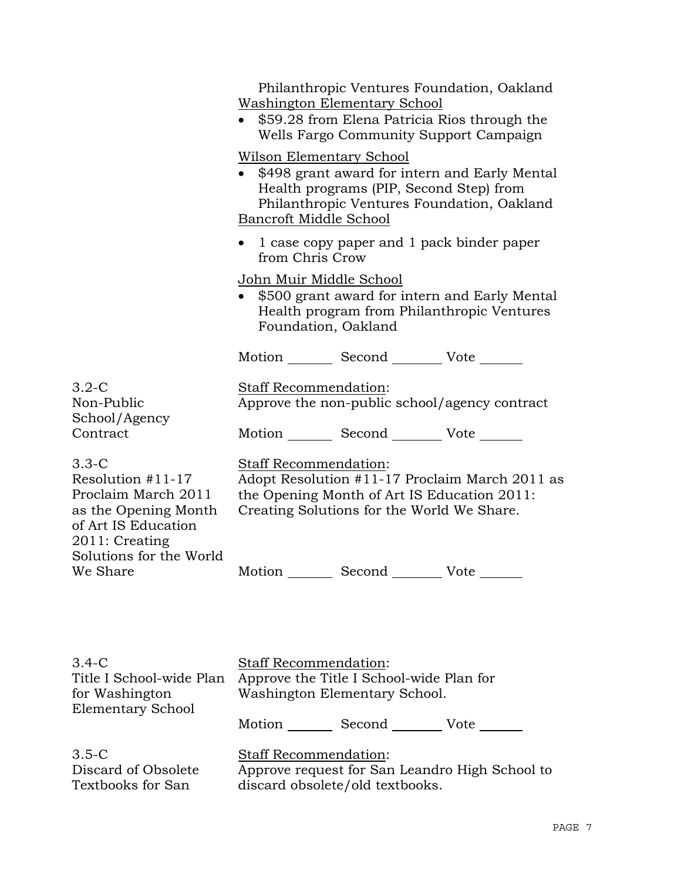|                                                                                                                        | Philanthropic Ventures Foundation, Oakland<br><u>Washington Elementary School</u><br>• \$59.28 from Elena Patricia Rios through the<br>Wells Fargo Community Support Campaign                         |
|------------------------------------------------------------------------------------------------------------------------|-------------------------------------------------------------------------------------------------------------------------------------------------------------------------------------------------------|
|                                                                                                                        | <u>Wilson Elementary School</u><br>• \$498 grant award for intern and Early Mental<br>Health programs (PIP, Second Step) from<br>Philanthropic Ventures Foundation, Oakland<br>Bancroft Middle School |
|                                                                                                                        | • 1 case copy paper and 1 pack binder paper<br>from Chris Crow                                                                                                                                        |
|                                                                                                                        | John Muir Middle School<br>\$500 grant award for intern and Early Mental<br>Health program from Philanthropic Ventures<br>Foundation, Oakland                                                         |
|                                                                                                                        | Motion _________ Second __________ Vote _______                                                                                                                                                       |
| $3.2-C$<br>Non-Public<br>School/Agency                                                                                 | Staff Recommendation:<br>Approve the non-public school/agency contract                                                                                                                                |
| Contract                                                                                                               | Motion _________ Second __________ Vote _______                                                                                                                                                       |
| $3.3-C$<br>Resolution $#11-17$<br>Proclaim March 2011<br>as the Opening Month<br>of Art IS Education<br>2011: Creating | <b>Staff Recommendation:</b><br>Adopt Resolution #11-17 Proclaim March 2011 as<br>the Opening Month of Art IS Education 2011:<br>Creating Solutions for the World We Share.                           |
| Solutions for the World<br>We Share                                                                                    | Second ____<br>Vote<br>Motion                                                                                                                                                                         |
| $3.4-C$<br>Title I School-wide Plan<br>for Washington<br><b>Elementary School</b>                                      | Staff Recommendation:<br>Approve the Title I School-wide Plan for<br>Washington Elementary School.                                                                                                    |

Motion Second Vote

3.5-C Discard of Obsolete Textbooks for San Staff Recommendation: Approve request for San Leandro High School to discard obsolete/old textbooks.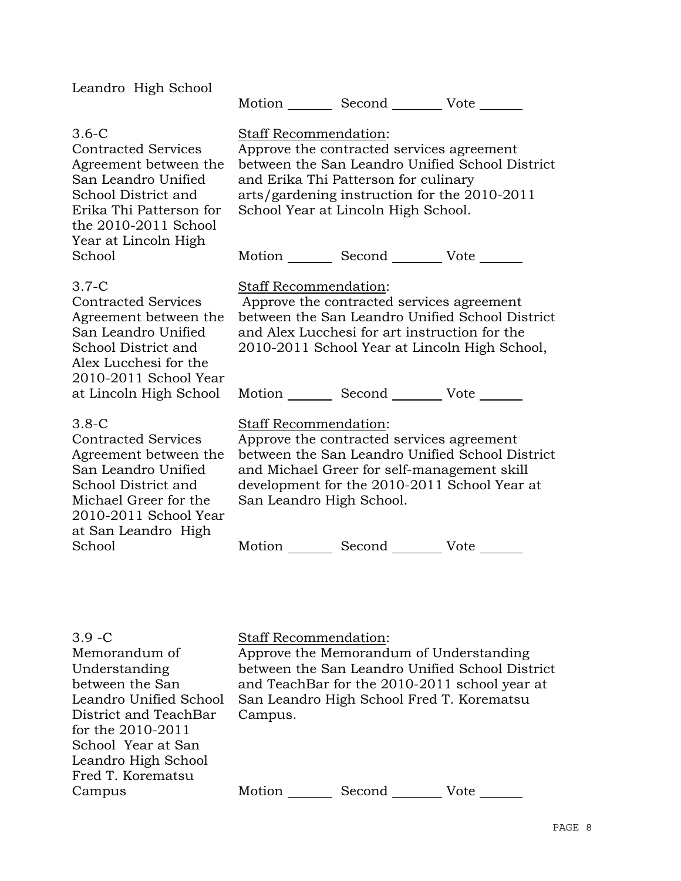| Leandro High School                                                                                                                                                                               | Motion Second Vote                                                                                                                                                                                                                                                         |
|---------------------------------------------------------------------------------------------------------------------------------------------------------------------------------------------------|----------------------------------------------------------------------------------------------------------------------------------------------------------------------------------------------------------------------------------------------------------------------------|
| $3.6-C$<br><b>Contracted Services</b><br>Agreement between the<br>San Leandro Unified<br>School District and<br>Erika Thi Patterson for<br>the 2010-2011 School<br>Year at Lincoln High<br>School | Staff Recommendation:<br>Approve the contracted services agreement<br>between the San Leandro Unified School District<br>and Erika Thi Patterson for culinary<br>arts/gardening instruction for the 2010-2011<br>School Year at Lincoln High School.<br>Motion Second Vote |
|                                                                                                                                                                                                   |                                                                                                                                                                                                                                                                            |
| $3.7-C$<br><b>Contracted Services</b><br>Agreement between the<br>San Leandro Unified<br>School District and<br>Alex Lucchesi for the<br>2010-2011 School Year                                    | Staff Recommendation:<br>Approve the contracted services agreement<br>between the San Leandro Unified School District<br>and Alex Lucchesi for art instruction for the<br>2010-2011 School Year at Lincoln High School,                                                    |
| at Lincoln High School                                                                                                                                                                            | Motion _________ Second _________ Vote _______                                                                                                                                                                                                                             |
| $3.8-C$<br><b>Contracted Services</b><br>Agreement between the<br>San Leandro Unified<br>School District and<br>Michael Greer for the<br>2010-2011 School Year<br>at San Leandro High             | Staff Recommendation:<br>Approve the contracted services agreement<br>between the San Leandro Unified School District<br>and Michael Greer for self-management skill<br>development for the 2010-2011 School Year at<br>San Leandro High School.                           |
| School                                                                                                                                                                                            | Motion<br>Second Vote                                                                                                                                                                                                                                                      |
| $3.9 - C$<br>Memorandum of<br>Understanding                                                                                                                                                       | <b>Staff Recommendation:</b><br>Approve the Memorandum of Understanding<br>between the San Leandro Unified School District                                                                                                                                                 |
| between the San<br>Leandro Unified School                                                                                                                                                         | and TeachBar for the 2010-2011 school year at<br>San Leandro High School Fred T. Korematsu                                                                                                                                                                                 |

Campus.

District and TeachBar for the 2010-2011 School Year at San Leandro High School Fred T. Korematsu

Campus

Motion Second Vote \_\_\_\_\_\_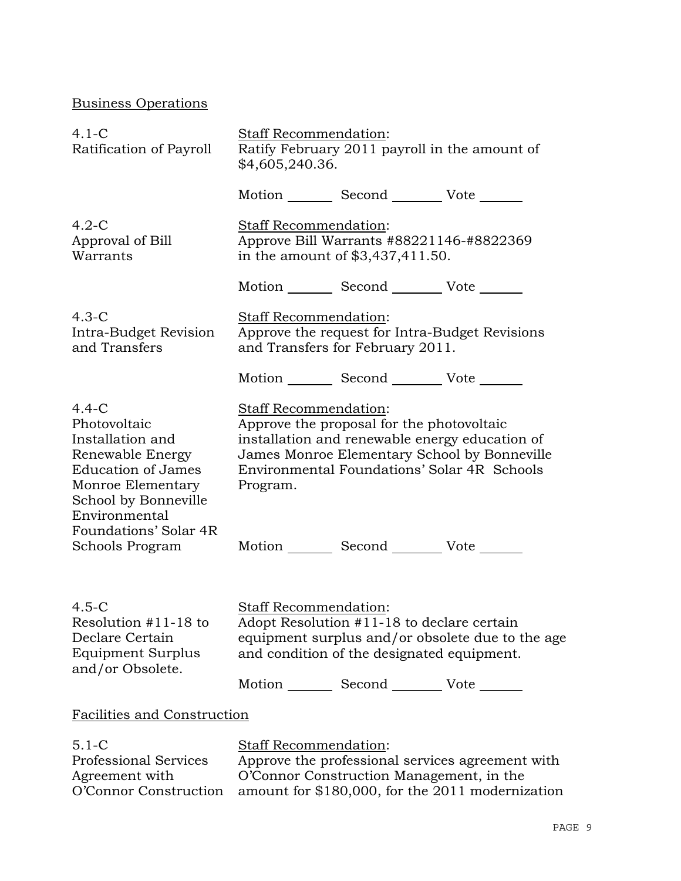Business Operations

| $4.1-C$<br>Ratification of Payroll                                                                                                                                                                     | Staff Recommendation:<br>\$4,605,240.36. | Ratify February 2011 payroll in the amount of                                                                                               |                                                                                                                                               |
|--------------------------------------------------------------------------------------------------------------------------------------------------------------------------------------------------------|------------------------------------------|---------------------------------------------------------------------------------------------------------------------------------------------|-----------------------------------------------------------------------------------------------------------------------------------------------|
|                                                                                                                                                                                                        |                                          | Motion _________ Second __________ Vote _______                                                                                             |                                                                                                                                               |
| $4.2-C$<br>Approval of Bill<br>Warrants                                                                                                                                                                | Staff Recommendation:                    | Approve Bill Warrants #88221146-#8822369<br>in the amount of \$3,437,411.50.                                                                |                                                                                                                                               |
|                                                                                                                                                                                                        |                                          | Motion _________ Second __________ Vote _______                                                                                             |                                                                                                                                               |
| $4.3-C$<br>Intra-Budget Revision<br>and Transfers                                                                                                                                                      | Staff Recommendation:                    | and Transfers for February 2011.                                                                                                            | Approve the request for Intra-Budget Revisions                                                                                                |
|                                                                                                                                                                                                        |                                          | Motion _________ Second __________ Vote _______                                                                                             |                                                                                                                                               |
| $4.4-C$<br>Photovoltaic<br>Installation and<br>Renewable Energy<br><b>Education of James</b><br>Monroe Elementary<br>School by Bonneville<br>Environmental<br>Foundations' Solar 4R<br>Schools Program | Staff Recommendation:<br>Program.        | Approve the proposal for the photovoltaic<br>Motion _________ Second __________ Vote _______                                                | installation and renewable energy education of<br>James Monroe Elementary School by Bonneville<br>Environmental Foundations' Solar 4R Schools |
| $4.5-C$<br>Resolution #11-18 to<br>Declare Certain<br>Equipment Surplus<br>and/or Obsolete.                                                                                                            | <b>Staff Recommendation:</b>             | Adopt Resolution #11-18 to declare certain<br>and condition of the designated equipment.<br>Motion _________ Second __________ Vote _______ | equipment surplus and/or obsolete due to the age                                                                                              |
| <b>Facilities and Construction</b>                                                                                                                                                                     |                                          |                                                                                                                                             |                                                                                                                                               |
| $5.1 - C$<br><b>Professional Services</b><br>Agreement with<br>O'Connor Construction                                                                                                                   | Staff Recommendation:                    | O'Connor Construction Management, in the                                                                                                    | Approve the professional services agreement with<br>amount for \$180,000, for the 2011 modernization                                          |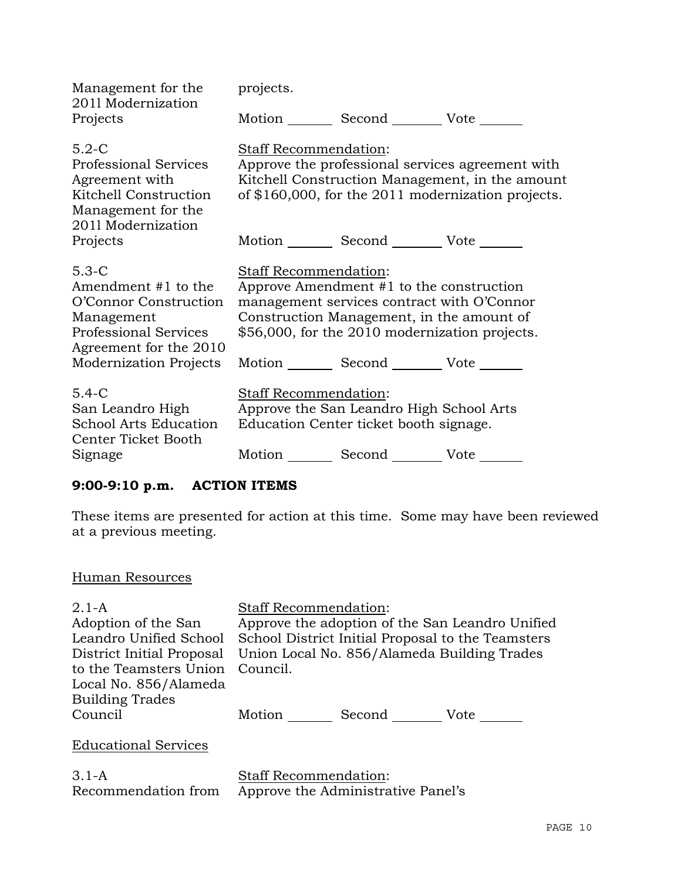| Management for the<br>2011 Modernization                                                                                                                    | projects.                    |                                                                                                                                                                                                             |                                                                                                                                                           |
|-------------------------------------------------------------------------------------------------------------------------------------------------------------|------------------------------|-------------------------------------------------------------------------------------------------------------------------------------------------------------------------------------------------------------|-----------------------------------------------------------------------------------------------------------------------------------------------------------|
| Projects                                                                                                                                                    |                              | Motion Second Vote                                                                                                                                                                                          |                                                                                                                                                           |
| $5.2-C$<br><b>Professional Services</b><br>Agreement with<br>Kitchell Construction<br>Management for the<br>2011 Modernization                              | Staff Recommendation:        |                                                                                                                                                                                                             | Approve the professional services agreement with<br>Kitchell Construction Management, in the amount<br>of \$160,000, for the 2011 modernization projects. |
| Projects                                                                                                                                                    |                              | Motion Second Vote ______                                                                                                                                                                                   |                                                                                                                                                           |
| $5.3 - C$<br>Amendment #1 to the<br>O'Connor Construction<br>Management<br><b>Professional Services</b><br>Agreement for the 2010<br>Modernization Projects | <b>Staff Recommendation:</b> | Approve Amendment #1 to the construction<br>management services contract with O'Connor<br>Construction Management, in the amount of<br>\$56,000, for the 2010 modernization projects.<br>Motion Second Vote |                                                                                                                                                           |
| $5.4 - C$<br>San Leandro High<br><b>School Arts Education</b><br>Center Ticket Booth                                                                        | Staff Recommendation:        | Approve the San Leandro High School Arts<br>Education Center ticket booth signage.                                                                                                                          |                                                                                                                                                           |
| Signage                                                                                                                                                     |                              | Motion _________ Second __________ Vote _______                                                                                                                                                             |                                                                                                                                                           |

# **9:00-9:10 p.m. ACTION ITEMS**

These items are presented for action at this time. Some may have been reviewed at a previous meeting.

# Human Resources

| $2.1 - A$<br>Adoption of the San | <b>Staff Recommendation:</b><br>Approve the adoption of the San Leandro Unified |
|----------------------------------|---------------------------------------------------------------------------------|
| Leandro Unified School           | School District Initial Proposal to the Teamsters                               |
|                                  |                                                                                 |
| District Initial Proposal        | Union Local No. 856/Alameda Building Trades                                     |
| to the Teamsters Union           | Council.                                                                        |
| Local No. 856/Alameda            |                                                                                 |
| <b>Building Trades</b>           |                                                                                 |
| Council                          | Motion<br>Second<br>Vote                                                        |
|                                  |                                                                                 |
| <b>Educational Services</b>      |                                                                                 |
|                                  |                                                                                 |

| $3.1-A$             | <b>Staff Recommendation:</b>       |  |  |
|---------------------|------------------------------------|--|--|
| Recommendation from | Approve the Administrative Panel's |  |  |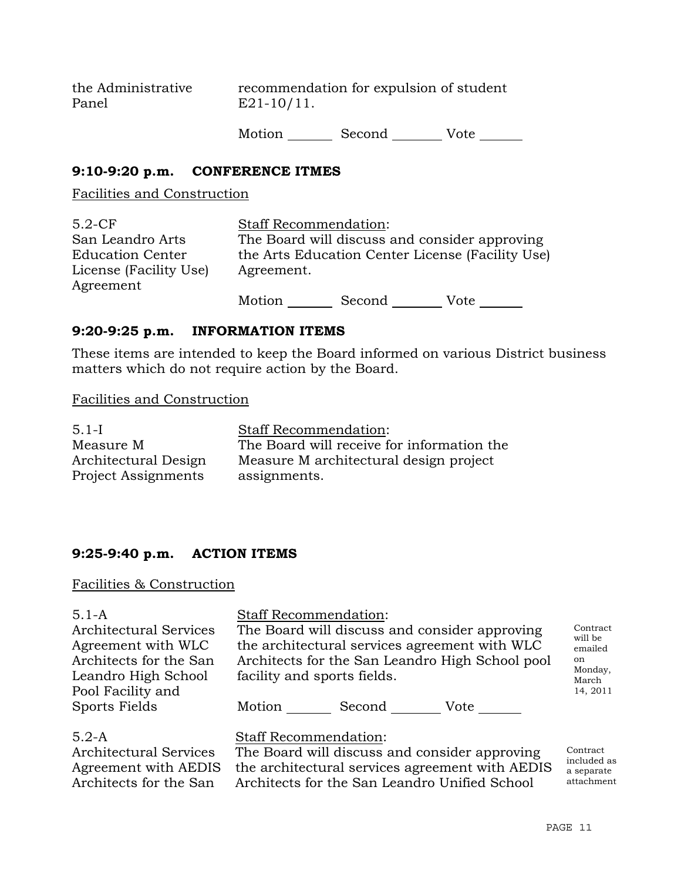the Administrative Panel recommendation for expulsion of student E21-10/11.

Motion Second Vote

## **9:10-9:20 p.m. CONFERENCE ITMES**

Facilities and Construction

| $5.2-CF$                | <b>Staff Recommendation:</b>                     |        |      |  |
|-------------------------|--------------------------------------------------|--------|------|--|
| San Leandro Arts        | The Board will discuss and consider approving    |        |      |  |
| <b>Education Center</b> | the Arts Education Center License (Facility Use) |        |      |  |
| License (Facility Use)  | Agreement.                                       |        |      |  |
| Agreement               |                                                  |        |      |  |
|                         | Motion                                           | Second | Vote |  |

#### **9:20-9:25 p.m. INFORMATION ITEMS**

These items are intended to keep the Board informed on various District business matters which do not require action by the Board.

Facilities and Construction

| $5.1-I$              | <b>Staff Recommendation:</b>               |  |  |
|----------------------|--------------------------------------------|--|--|
| Measure M            | The Board will receive for information the |  |  |
| Architectural Design | Measure M architectural design project     |  |  |
| Project Assignments  | assignments.                               |  |  |

# **9:25-9:40 p.m. ACTION ITEMS**

#### Facilities & Construction

# Staff Recommendation:

Architectural Services Agreement with WLC Architects for the San Leandro High School Pool Facility and Sports Fields

The Board will discuss and consider approving

the architectural services agreement with WLC Architects for the San Leandro High School pool facility and sports fields.

**Contract** will be emailed on Monday, March 14, 2011

Motion Second Vote

#### 5.2-A

Architectural Services Agreement with AEDIS Architects for the San

Staff Recommendation:

The Board will discuss and consider approving the architectural services agreement with AEDIS Architects for the San Leandro Unified School

Contract included as a separate attachment